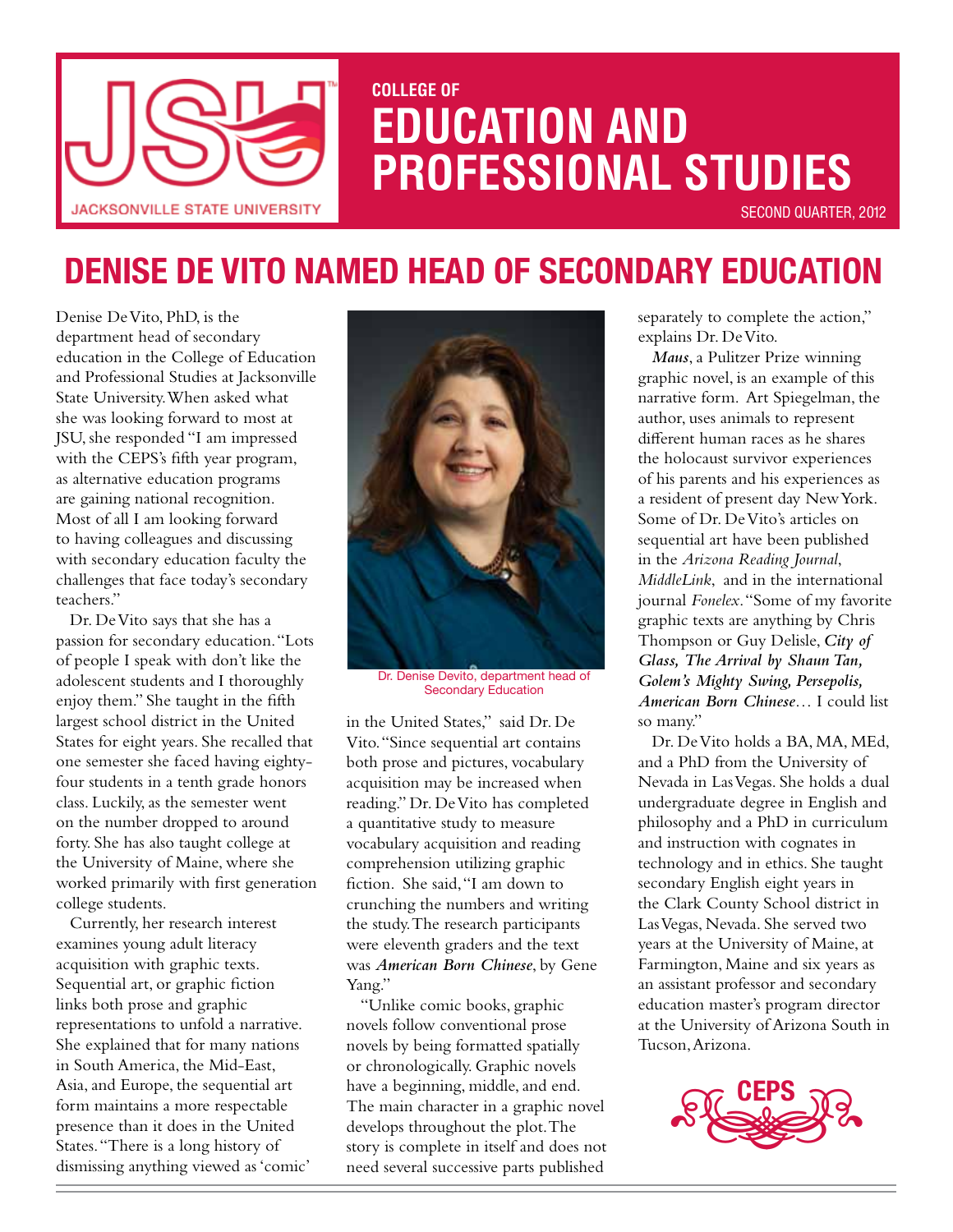

# **COLLEGE OF EDUCATION and PROFESSIONAL STUDIES**

second Quarter, 2012

# **Denise De Vito Named Head of Secondary Education**

Denise De Vito, PhD, is the department head of secondary education in the College of Education and Professional Studies at Jacksonville State University. When asked what she was looking forward to most at JSU, she responded "I am impressed with the CEPS's fifth year program, as alternative education programs are gaining national recognition. Most of all I am looking forward to having colleagues and discussing with secondary education faculty the challenges that face today's secondary teachers."

Dr. De Vito says that she has a passion for secondary education. "Lots of people I speak with don't like the adolescent students and I thoroughly enjoy them." She taught in the fifth largest school district in the United States for eight years. She recalled that one semester she faced having eightyfour students in a tenth grade honors class. Luckily, as the semester went on the number dropped to around forty. She has also taught college at the University of Maine, where she worked primarily with first generation college students.

Currently, her research interest examines young adult literacy acquisition with graphic texts. Sequential art, or graphic fiction links both prose and graphic representations to unfold a narrative. She explained that for many nations in South America, the Mid-East, Asia, and Europe, the sequential art form maintains a more respectable presence than it does in the United States. "There is a long history of dismissing anything viewed as 'comic'



Dr. Denise Devito, department head of Secondary Education

in the United States," said Dr. De Vito. "Since sequential art contains both prose and pictures, vocabulary acquisition may be increased when reading." Dr. De Vito has completed a quantitative study to measure vocabulary acquisition and reading comprehension utilizing graphic fiction. She said, "I am down to crunching the numbers and writing the study. The research participants were eleventh graders and the text was *American Born Chinese*, by Gene Yang."

"Unlike comic books, graphic novels follow conventional prose novels by being formatted spatially or chronologically. Graphic novels have a beginning, middle, and end. The main character in a graphic novel develops throughout the plot. The story is complete in itself and does not need several successive parts published

separately to complete the action," explains Dr. De Vito.

*Maus*, a Pulitzer Prize winning graphic novel, is an example of this narrative form. Art Spiegelman, the author, uses animals to represent different human races as he shares the holocaust survivor experiences of his parents and his experiences as a resident of present day New York. Some of Dr. De Vito's articles on sequential art have been published in the *Arizona Reading Journal*, *MiddleLink*, and in the international journal *Fonelex*. "Some of my favorite graphic texts are anything by Chris Thompson or Guy Delisle, *City of Glass, The Arrival by Shaun Tan, Golem's Mighty Swing, Persepolis, American Born Chinese*… I could list so many."

Dr. De Vito holds a BA, MA, MEd, and a PhD from the University of Nevada in Las Vegas. She holds a dual undergraduate degree in English and philosophy and a PhD in curriculum and instruction with cognates in technology and in ethics. She taught secondary English eight years in the Clark County School district in Las Vegas, Nevada. She served two years at the University of Maine, at Farmington, Maine and six years as an assistant professor and secondary education master's program director at the University of Arizona South in Tucson, Arizona.

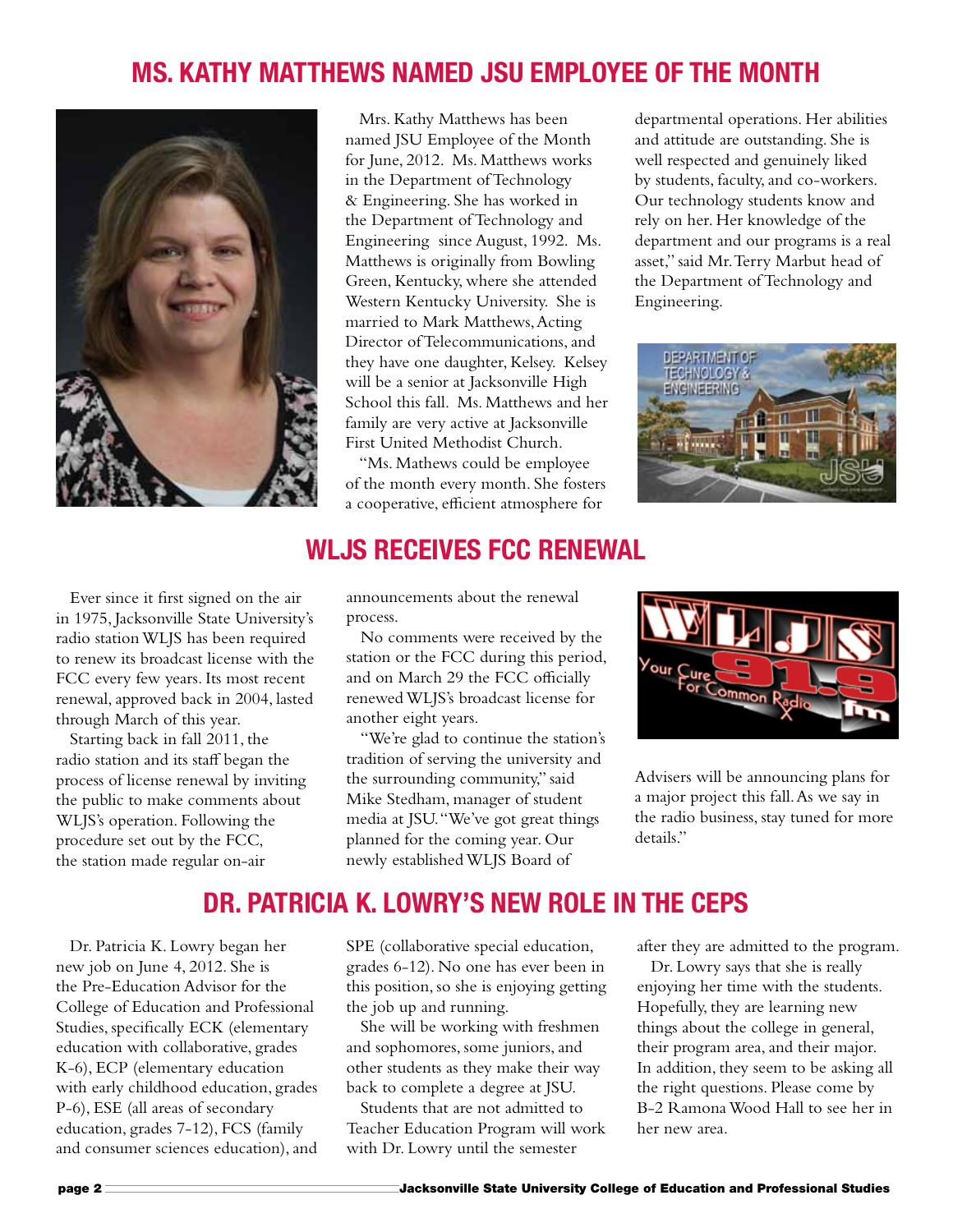## **Ms. Kathy Matthews Named JSU Employee of the Month**



Mrs. Kathy Matthews has been named JSU Employee of the Month for June, 2012. Ms. Matthews works in the Department of Technology & Engineering. She has worked in the Department of Technology and Engineering since August, 1992. Ms. Matthews is originally from Bowling Green, Kentucky, where she attended Western Kentucky University. She is married to Mark Matthews, Acting Director of Telecommunications, and they have one daughter, Kelsey. Kelsey will be a senior at Jacksonville High School this fall. Ms. Matthews and her family are very active at Jacksonville First United Methodist Church.

"Ms. Mathews could be employee of the month every month. She fosters a cooperative, efficient atmosphere for

departmental operations. Her abilities and attitude are outstanding. She is well respected and genuinely liked by students, faculty, and co-workers. Our technology students know and rely on her. Her knowledge of the department and our programs is a real asset," said Mr. Terry Marbut head of the Department of Technology and Engineering.



Ever since it first signed on the air in 1975, Jacksonville State University's radio station WLJS has been required to renew its broadcast license with the FCC every few years. Its most recent renewal, approved back in 2004, lasted through March of this year.

Starting back in fall 2011, the radio station and its staff began the process of license renewal by inviting the public to make comments about WLJS's operation. Following the procedure set out by the FCC, the station made regular on-air

#### **WLJS Receives FCC Renewal**

announcements about the renewal process.

No comments were received by the station or the FCC during this period, and on March 29 the FCC officially renewed WLJS's broadcast license for another eight years.

"We're glad to continue the station's tradition of serving the university and the surrounding community," said Mike Stedham, manager of student media at JSU. "We've got great things planned for the coming year. Our newly established WLJS Board of



Advisers will be announcing plans for a major project this fall. As we say in the radio business, stay tuned for more details."

#### **Dr. Patricia K. Lowry's New Role in the CEPS**

Dr. Patricia K. Lowry began her new job on June 4, 2012. She is the Pre-Education Advisor for the College of Education and Professional Studies, specifically ECK (elementary education with collaborative, grades K-6), ECP (elementary education with early childhood education, grades P-6), ESE (all areas of secondary education, grades 7-12), FCS (family and consumer sciences education), and

SPE (collaborative special education, grades 6-12). No one has ever been in this position, so she is enjoying getting the job up and running.

She will be working with freshmen and sophomores, some juniors, and other students as they make their way back to complete a degree at JSU.

Students that are not admitted to Teacher Education Program will work with Dr. Lowry until the semester

after they are admitted to the program.

Dr. Lowry says that she is really enjoying her time with the students. Hopefully, they are learning new things about the college in general, their program area, and their major. In addition, they seem to be asking all the right questions. Please come by B-2 Ramona Wood Hall to see her in her new area.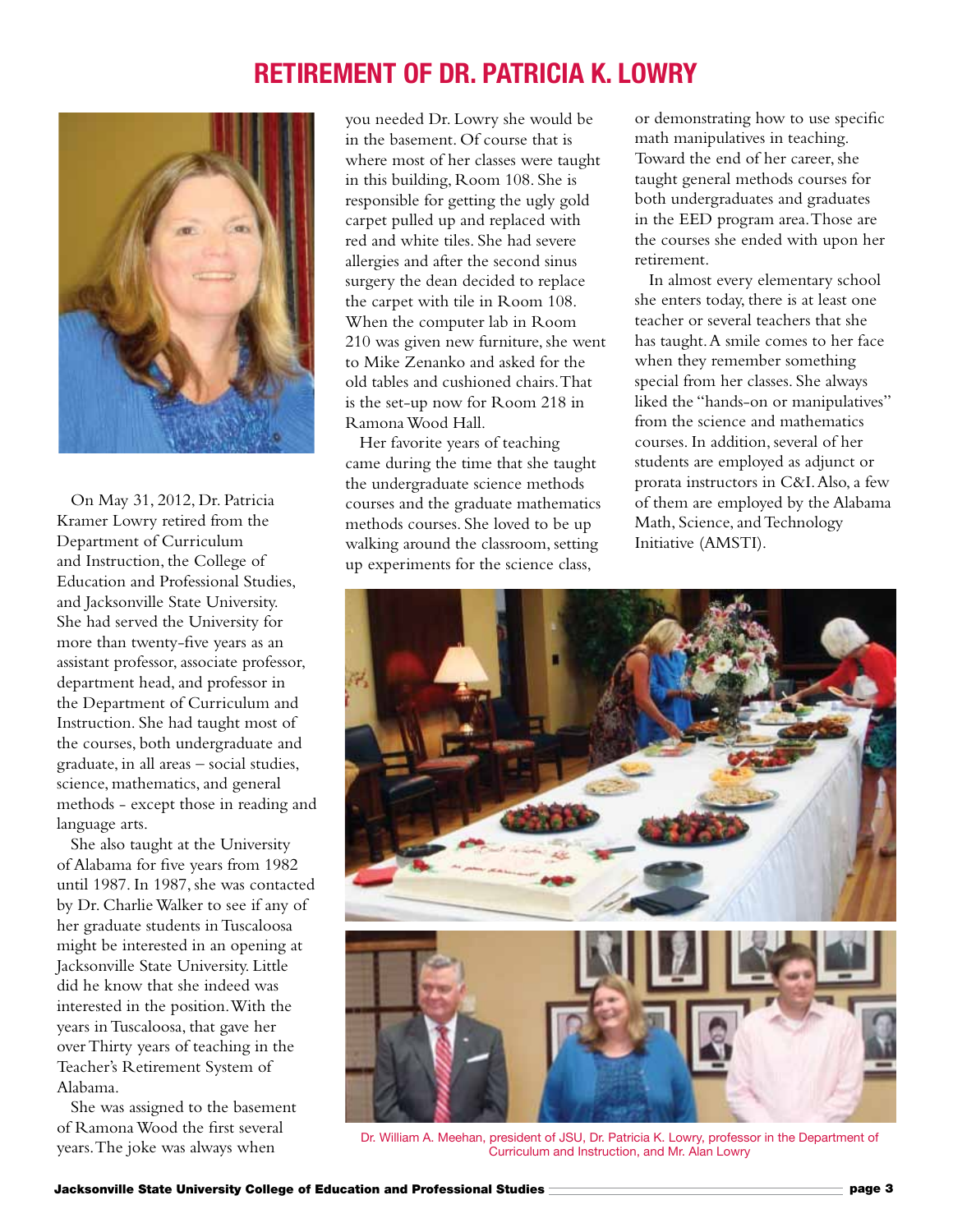### **Retirement of Dr. Patricia K. Lowry**



On May 31, 2012, Dr. Patricia Kramer Lowry retired from the Department of Curriculum and Instruction, the College of Education and Professional Studies, and Jacksonville State University. She had served the University for more than twenty-five years as an assistant professor, associate professor, department head, and professor in the Department of Curriculum and Instruction. She had taught most of the courses, both undergraduate and graduate, in all areas – social studies, science, mathematics, and general methods - except those in reading and language arts.

She also taught at the University of Alabama for five years from 1982 until 1987. In 1987, she was contacted by Dr. Charlie Walker to see if any of her graduate students in Tuscaloosa might be interested in an opening at Jacksonville State University. Little did he know that she indeed was interested in the position. With the years in Tuscaloosa, that gave her over Thirty years of teaching in the Teacher's Retirement System of Alabama.

She was assigned to the basement of Ramona Wood the first several years. The joke was always when

you needed Dr. Lowry she would be in the basement. Of course that is where most of her classes were taught in this building, Room 108. She is responsible for getting the ugly gold carpet pulled up and replaced with red and white tiles. She had severe allergies and after the second sinus surgery the dean decided to replace the carpet with tile in Room 108. When the computer lab in Room 210 was given new furniture, she went to Mike Zenanko and asked for the old tables and cushioned chairs. That is the set-up now for Room 218 in Ramona Wood Hall.

Her favorite years of teaching came during the time that she taught the undergraduate science methods courses and the graduate mathematics methods courses. She loved to be up walking around the classroom, setting up experiments for the science class,

or demonstrating how to use specific math manipulatives in teaching. Toward the end of her career, she taught general methods courses for both undergraduates and graduates in the EED program area. Those are the courses she ended with upon her retirement.

In almost every elementary school she enters today, there is at least one teacher or several teachers that she has taught. A smile comes to her face when they remember something special from her classes. She always liked the "hands-on or manipulatives" from the science and mathematics courses. In addition, several of her students are employed as adjunct or prorata instructors in C&I. Also, a few of them are employed by the Alabama Math, Science, and Technology Initiative (AMSTI).



Dr. William A. Meehan, president of JSU, Dr. Patricia K. Lowry, professor in the Department of Curriculum and Instruction, and Mr. Alan Lowry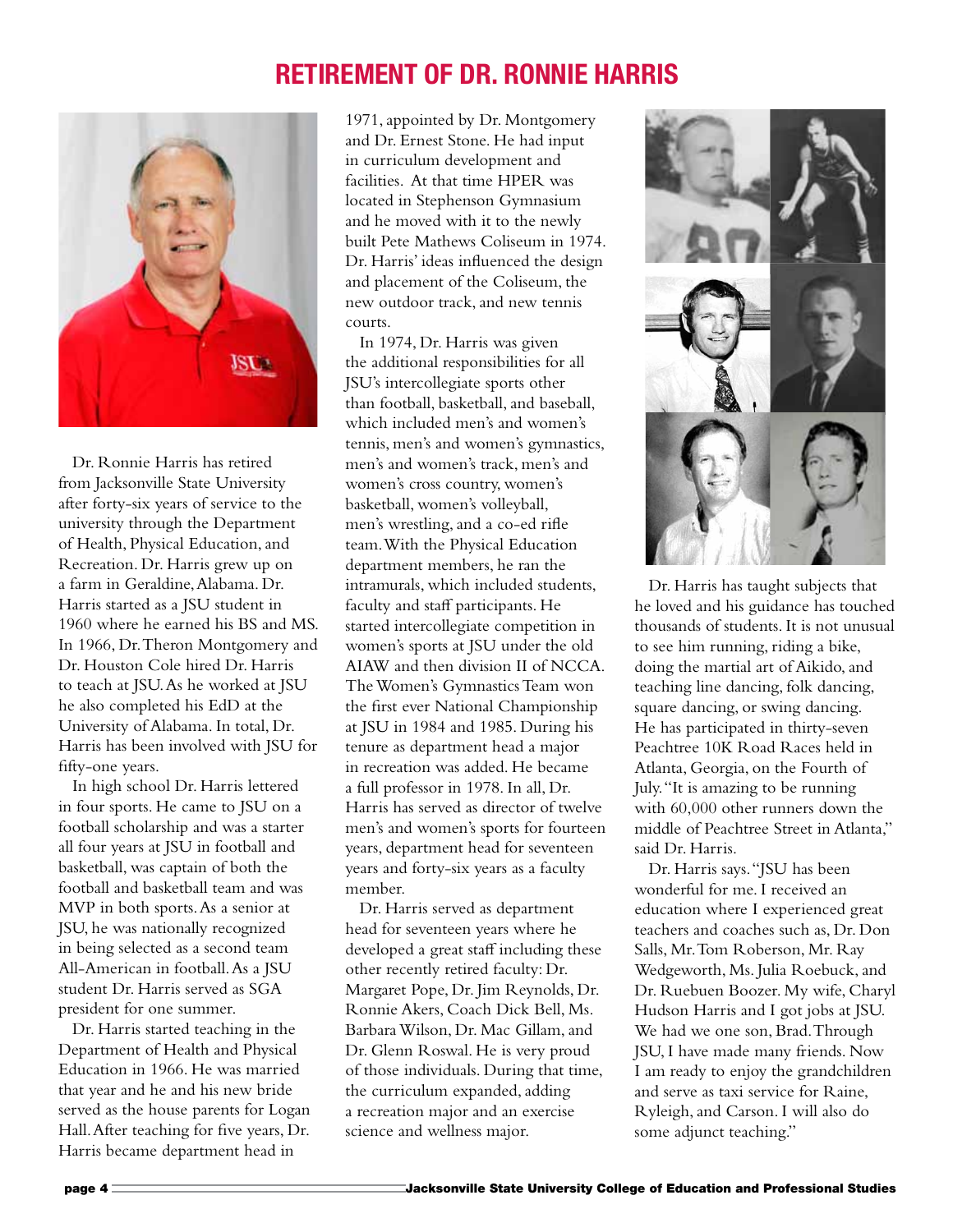### **Retirement of Dr. Ronnie Harris**



Dr. Ronnie Harris has retired from Jacksonville State University after forty-six years of service to the university through the Department of Health, Physical Education, and Recreation. Dr. Harris grew up on a farm in Geraldine, Alabama. Dr. Harris started as a JSU student in 1960 where he earned his BS and MS. In 1966, Dr. Theron Montgomery and Dr. Houston Cole hired Dr. Harris to teach at JSU. As he worked at JSU he also completed his EdD at the University of Alabama. In total, Dr. Harris has been involved with JSU for fifty-one years.

In high school Dr. Harris lettered in four sports. He came to JSU on a football scholarship and was a starter all four years at JSU in football and basketball, was captain of both the football and basketball team and was MVP in both sports. As a senior at JSU, he was nationally recognized in being selected as a second team All-American in football. As a JSU student Dr. Harris served as SGA president for one summer.

Dr. Harris started teaching in the Department of Health and Physical Education in 1966. He was married that year and he and his new bride served as the house parents for Logan Hall. After teaching for five years, Dr. Harris became department head in

1971, appointed by Dr. Montgomery and Dr. Ernest Stone. He had input in curriculum development and facilities. At that time HPER was located in Stephenson Gymnasium and he moved with it to the newly built Pete Mathews Coliseum in 1974. Dr. Harris' ideas influenced the design and placement of the Coliseum, the new outdoor track, and new tennis courts.

In 1974, Dr. Harris was given the additional responsibilities for all JSU's intercollegiate sports other than football, basketball, and baseball, which included men's and women's tennis, men's and women's gymnastics, men's and women's track, men's and women's cross country, women's basketball, women's volleyball, men's wrestling, and a co-ed rifle team. With the Physical Education department members, he ran the intramurals, which included students, faculty and staff participants. He started intercollegiate competition in women's sports at JSU under the old AIAW and then division II of NCCA. The Women's Gymnastics Team won the first ever National Championship at JSU in 1984 and 1985. During his tenure as department head a major in recreation was added. He became a full professor in 1978. In all, Dr. Harris has served as director of twelve men's and women's sports for fourteen years, department head for seventeen years and forty-six years as a faculty member.

Dr. Harris served as department head for seventeen years where he developed a great staff including these other recently retired faculty: Dr. Margaret Pope, Dr. Jim Reynolds, Dr. Ronnie Akers, Coach Dick Bell, Ms. Barbara Wilson, Dr. Mac Gillam, and Dr. Glenn Roswal. He is very proud of those individuals. During that time, the curriculum expanded, adding a recreation major and an exercise science and wellness major.



Dr. Harris has taught subjects that he loved and his guidance has touched thousands of students. It is not unusual to see him running, riding a bike, doing the martial art of Aikido, and teaching line dancing, folk dancing, square dancing, or swing dancing. He has participated in thirty-seven Peachtree 10K Road Races held in Atlanta, Georgia, on the Fourth of July. "It is amazing to be running with 60,000 other runners down the middle of Peachtree Street in Atlanta," said Dr. Harris.

Dr. Harris says. "JSU has been wonderful for me. I received an education where I experienced great teachers and coaches such as, Dr. Don Salls, Mr. Tom Roberson, Mr. Ray Wedgeworth, Ms. Julia Roebuck, and Dr. Ruebuen Boozer. My wife, Charyl Hudson Harris and I got jobs at JSU. We had we one son, Brad. Through JSU, I have made many friends. Now I am ready to enjoy the grandchildren and serve as taxi service for Raine, Ryleigh, and Carson. I will also do some adjunct teaching."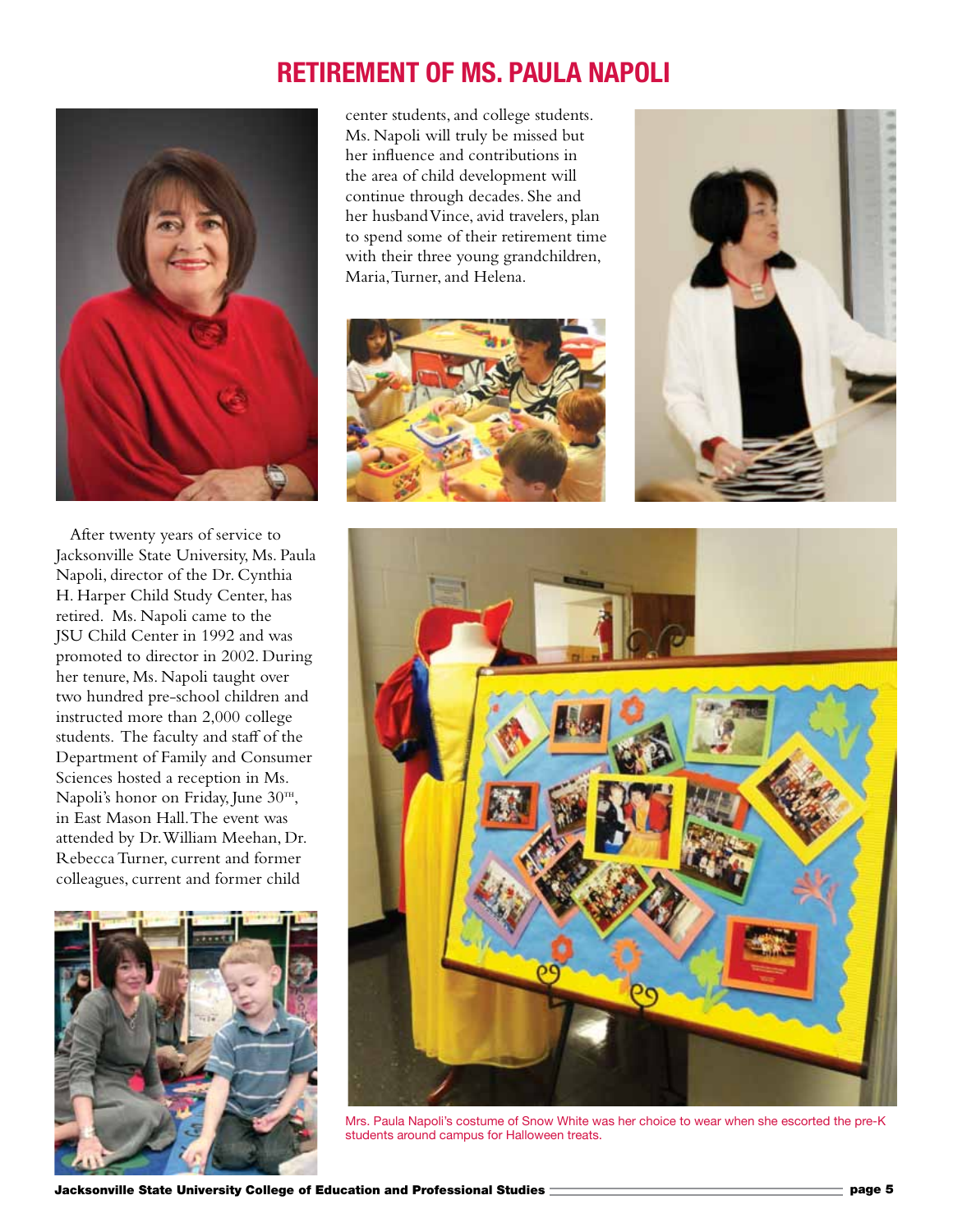## **Retirement of Ms. Paula Napoli**



After twenty years of service to Jacksonville State University, Ms. Paula Napoli, director of the Dr. Cynthia H. Harper Child Study Center, has retired. Ms. Napoli came to the JSU Child Center in 1992 and was promoted to director in 2002. During her tenure, Ms. Napoli taught over two hundred pre-school children and instructed more than 2,000 college students. The faculty and staff of the Department of Family and Consumer Sciences hosted a reception in Ms. Napoli's honor on Friday, June  $30<sup>TH</sup>$ , in East Mason Hall. The event was attended by Dr. William Meehan, Dr. Rebecca Turner, current and former colleagues, current and former child



center students, and college students. Ms. Napoli will truly be missed but her influence and contributions in the area of child development will continue through decades. She and her husband Vince, avid travelers, plan to spend some of their retirement time with their three young grandchildren, Maria, Turner, and Helena.







Mrs. Paula Napoli's costume of Snow White was her choice to wear when she escorted the pre-K students around campus for Halloween treats.